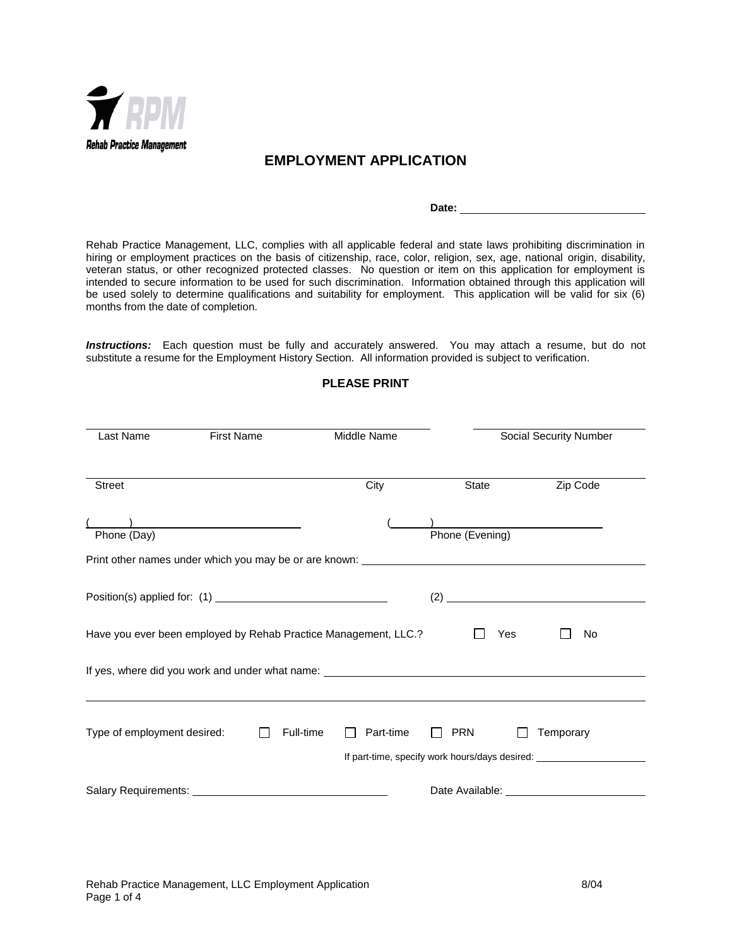

# **EMPLOYMENT APPLICATION**

**Date:** 

Rehab Practice Management, LLC, complies with all applicable federal and state laws prohibiting discrimination in hiring or employment practices on the basis of citizenship, race, color, religion, sex, age, national origin, disability, veteran status, or other recognized protected classes. No question or item on this application for employment is intended to secure information to be used for such discrimination. Information obtained through this application will be used solely to determine qualifications and suitability for employment. This application will be valid for six (6) months from the date of completion.

*Instructions:* Each question must be fully and accurately answered. You may attach a resume, but do not substitute a resume for the Employment History Section. All information provided is subject to verification.

| Last Name                                                                                       |  | Middle Name | Social Security Number |                 |     |                                                                                               |
|-------------------------------------------------------------------------------------------------|--|-------------|------------------------|-----------------|-----|-----------------------------------------------------------------------------------------------|
| Street                                                                                          |  |             | City                   | State           |     | Zip Code                                                                                      |
| Phone (Day)<br>Print other names under which you may be or are known: _________________________ |  |             |                        | Phone (Evening) |     |                                                                                               |
|                                                                                                 |  |             |                        |                 |     |                                                                                               |
| Have you ever been employed by Rehab Practice Management, LLC.?                                 |  |             |                        |                 | Yes | No                                                                                            |
| If yes, where did you work and under what name: ________________________________                |  |             |                        |                 |     |                                                                                               |
| Type of employment desired:                                                                     |  | Full-time   | Part-time              | <b>PRN</b>      |     | Temporary<br>If part-time, specify work hours/days desired: _________________________________ |
|                                                                                                 |  |             |                        |                 |     | Date Available: <b>Example 2018</b>                                                           |

### **PLEASE PRINT**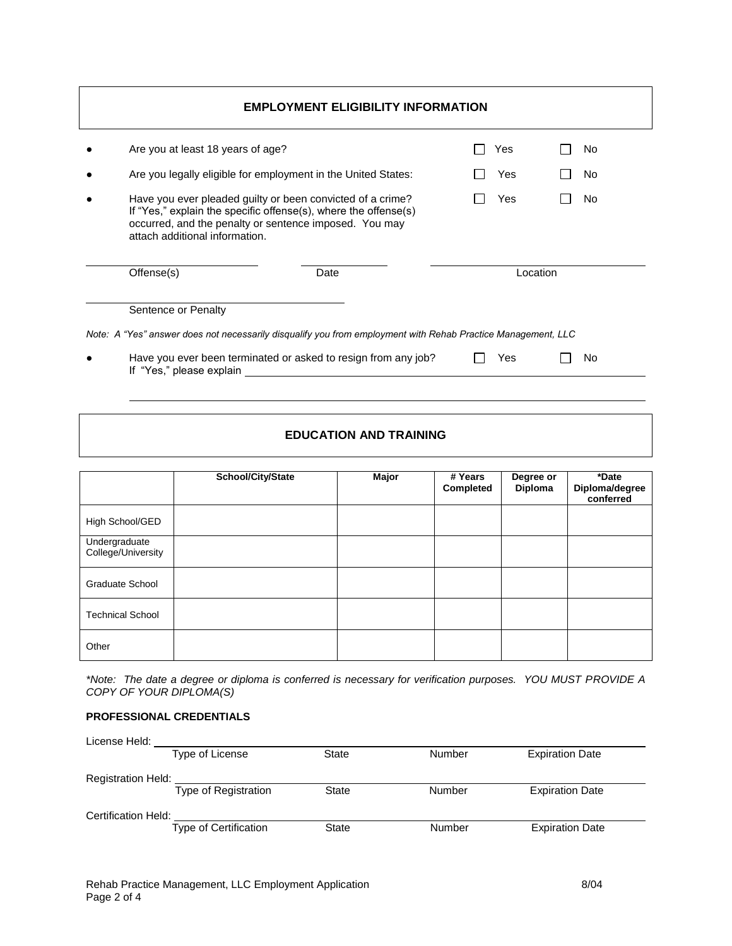| <b>EMPLOYMENT ELIGIBILITY INFORMATION</b> |                                   |                                                                                                                                                                                         |  |     |                |  |  |  |
|-------------------------------------------|-----------------------------------|-----------------------------------------------------------------------------------------------------------------------------------------------------------------------------------------|--|-----|----------------|--|--|--|
|                                           | Are you at least 18 years of age? |                                                                                                                                                                                         |  | Yes | No.            |  |  |  |
|                                           |                                   | Are you legally eligible for employment in the United States:                                                                                                                           |  | Yes | No.            |  |  |  |
|                                           | attach additional information.    | Have you ever pleaded guilty or been convicted of a crime?<br>If "Yes," explain the specific offense(s), where the offense(s)<br>occurred, and the penalty or sentence imposed. You may |  | Yes | N <sub>0</sub> |  |  |  |
|                                           | Offense(s)                        | Date                                                                                                                                                                                    |  |     | Location       |  |  |  |
|                                           | Sentence or Penalty               |                                                                                                                                                                                         |  |     |                |  |  |  |
|                                           |                                   | Note: A "Yes" answer does not necessarily disqualify you from employment with Rehab Practice Management, LLC                                                                            |  |     |                |  |  |  |
|                                           | If "Yes," please explain          | Have you ever been terminated or asked to resign from any job?                                                                                                                          |  | Yes | No             |  |  |  |

| <b>EDUCATION AND TRAINING</b> |  |  |  |  |  |  |
|-------------------------------|--|--|--|--|--|--|
|-------------------------------|--|--|--|--|--|--|

|                                     | School/City/State | Major | # Years<br>Completed | Degree or<br><b>Diploma</b> | *Date<br>Diploma/degree<br>conferred |
|-------------------------------------|-------------------|-------|----------------------|-----------------------------|--------------------------------------|
| High School/GED                     |                   |       |                      |                             |                                      |
| Undergraduate<br>College/University |                   |       |                      |                             |                                      |
| <b>Graduate School</b>              |                   |       |                      |                             |                                      |
| <b>Technical School</b>             |                   |       |                      |                             |                                      |
| Other                               |                   |       |                      |                             |                                      |

*\*Note: The date a degree or diploma is conferred is necessary for verification purposes. YOU MUST PROVIDE A COPY OF YOUR DIPLOMA(S)*

### **PROFESSIONAL CREDENTIALS**

| License Held:              |                              |              |        |                        |  |
|----------------------------|------------------------------|--------------|--------|------------------------|--|
|                            | Type of License              | State        | Number | <b>Expiration Date</b> |  |
| <b>Registration Held:</b>  |                              |              |        |                        |  |
|                            | Type of Registration         | <b>State</b> | Number | <b>Expiration Date</b> |  |
| <b>Certification Held:</b> |                              |              |        |                        |  |
|                            | <b>Type of Certification</b> | State        | Number | <b>Expiration Date</b> |  |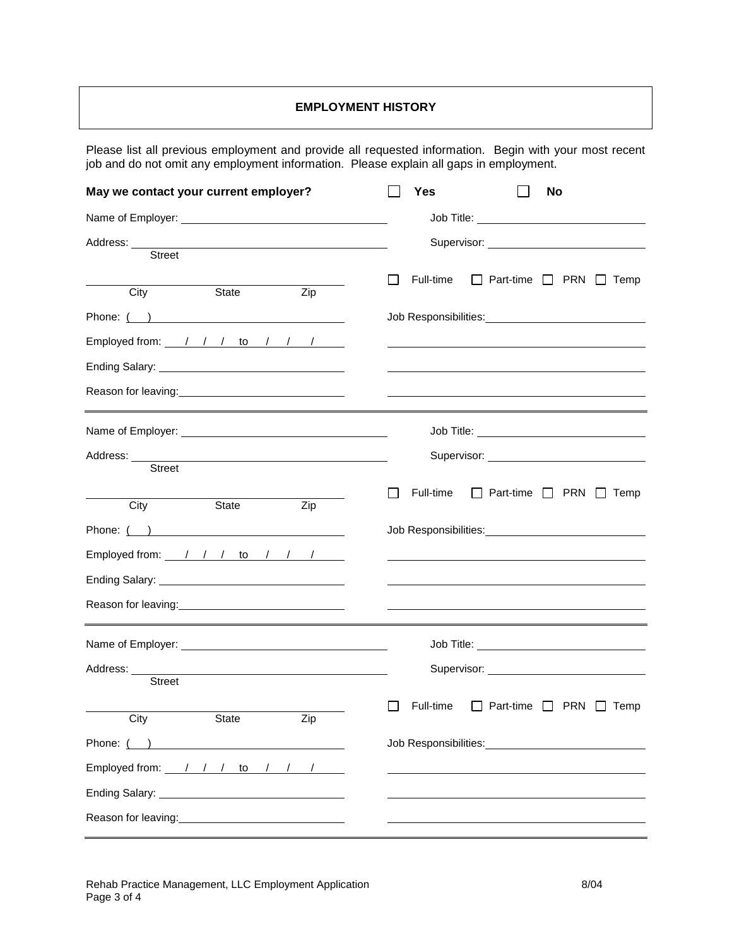## **EMPLOYMENT HISTORY**

Please list all previous employment and provide all requested information. Begin with your most recent job and do not omit any employment information. Please explain all gaps in employment.

| May we contact your current employer?                                                                                                                                                                                         | Yes       | No                                                                                                             |
|-------------------------------------------------------------------------------------------------------------------------------------------------------------------------------------------------------------------------------|-----------|----------------------------------------------------------------------------------------------------------------|
|                                                                                                                                                                                                                               |           |                                                                                                                |
| Street                                                                                                                                                                                                                        |           |                                                                                                                |
| City<br>State<br>Zip                                                                                                                                                                                                          | Full-time | Part-time $\Box$ PRN $\Box$ Temp                                                                               |
| Phone: ( )                                                                                                                                                                                                                    |           | Job Responsibilities: Van American American American American American American American American American     |
| Employed from: $\frac{1}{1}$ / $\frac{1}{1}$ to $\frac{1}{1}$ / $\frac{1}{1}$                                                                                                                                                 |           |                                                                                                                |
| Ending Salary: North Contract of the Contract of the Contract of the Contract of the Contract of the Contract of the Contract of the Contract of the Contract of the Contract of the Contract of the Contract of the Contract |           |                                                                                                                |
| Reason for leaving:<br><u>Internal contracts</u>                                                                                                                                                                              |           |                                                                                                                |
|                                                                                                                                                                                                                               |           |                                                                                                                |
| Street                                                                                                                                                                                                                        |           | Supervisor: and the state of the state of the state of the state of the state of the state of the state of the |
|                                                                                                                                                                                                                               | Full-time | Part-time $\Box$ PRN $\Box$ Temp                                                                               |
| City<br>State<br>Zip                                                                                                                                                                                                          |           |                                                                                                                |
| Phone: ( )                                                                                                                                                                                                                    |           | Job Responsibilities: Van American American American American American American American American American     |
| Employed from: $\frac{1}{1}$ / $\frac{1}{1}$ to $\frac{1}{1}$ / $\frac{1}{1}$                                                                                                                                                 |           |                                                                                                                |
|                                                                                                                                                                                                                               |           |                                                                                                                |
| Reason for leaving:<br><u> </u>                                                                                                                                                                                               |           |                                                                                                                |
|                                                                                                                                                                                                                               |           |                                                                                                                |
|                                                                                                                                                                                                                               |           | Supervisor: Supervisor:                                                                                        |
| Street                                                                                                                                                                                                                        |           |                                                                                                                |
| City State<br>Zip                                                                                                                                                                                                             | Full-time | $\Box$ Part-time $\Box$ PRN $\Box$ Temp                                                                        |
| Phone: ( )                                                                                                                                                                                                                    |           | Job Responsibilities: Van American American American American American American American American American     |
| Employed from: 1 / 1 to / / /                                                                                                                                                                                                 |           |                                                                                                                |
|                                                                                                                                                                                                                               |           |                                                                                                                |
| Reason for leaving:<br><u>Neason</u> for leaving:                                                                                                                                                                             |           |                                                                                                                |